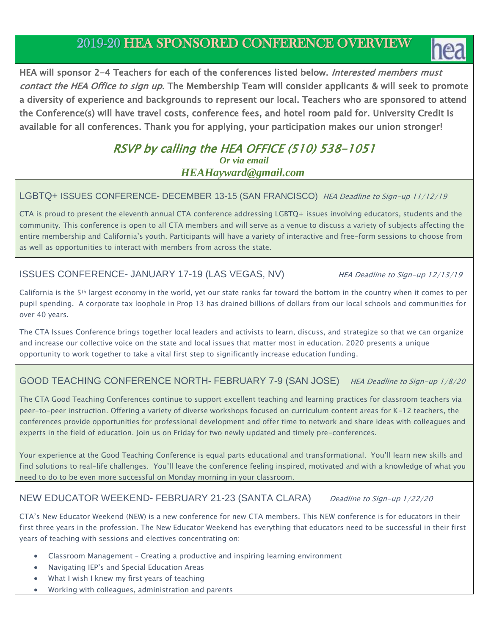# 2019-20 HEA SPONSORED CONFERENCE OVERVIEW



HEA will sponsor 2-4 Teachers for each of the conferences listed below. Interested members must contact the HEA Office to sign up. The Membership Team will consider applicants & will seek to promote a diversity of experience and backgrounds to represent our local. Teachers who are sponsored to attend the Conference(s) will have travel costs, conference fees, and hotel room paid for. University Credit is available for all conferences. Thank you for applying, your participation makes our union stronger!

# RSVP by calling the HEA OFFICE (510) 538-1051 *Or via email HEAHayward@gmail.com*

### LGBTQ+ ISSUES CONFERENCE- DECEMBER 13-15 (SAN FRANCISCO) HEA Deadline to Sign-up 11/12/19

CTA is proud to present the eleventh annual CTA conference addressing LGBTQ+ issues involving educators, students and the community. This conference is open to all CTA members and will serve as a venue to discuss a variety of subjects affecting the entire membership and California's youth. Participants will have a variety of interactive and free-form sessions to choose from as well as opportunities to interact with members from across the state.

# ISSUES CONFERENCE- JANUARY 17-19 (LAS VEGAS, NV) HEA Deadline to Sign-up 12/13/19

California is the 5th largest economy in the world, yet our state ranks far toward the bottom in the country when it comes to per pupil spending. A corporate tax loophole in Prop 13 has drained billions of dollars from our local schools and communities for over 40 years.

The CTA Issues Conference brings together local leaders and activists to learn, discuss, and strategize so that we can organize and increase our collective voice on the state and local issues that matter most in education. 2020 presents a unique opportunity to work together to take a vital first step to significantly increase education funding.

# GOOD TEACHING CONFERENCE NORTH- FEBRUARY 7-9 (SAN JOSE) HEA Deadline to Sign-up 1/8/20

The CTA Good Teaching Conferences continue to support excellent teaching and learning practices for classroom teachers via peer-to-peer instruction. Offering a variety of diverse workshops focused on curriculum content areas for K-12 teachers, the conferences provide opportunities for professional development and offer time to network and share ideas with colleagues and experts in the field of education. Join us on Friday for two newly updated and timely pre-conferences.

Your experience at the Good Teaching Conference is equal parts educational and transformational. You'll learn new skills and find solutions to real-life challenges. You'll leave the conference feeling inspired, motivated and with a knowledge of what you need to do to be even more successful on Monday morning in your classroom.

# NEW EDUCATOR WEEKEND- FEBRUARY 21-23 (SANTA CLARA) Deadline to Sign-up 1/22/20

CTA's New Educator Weekend (NEW) is a new conference for new CTA members. This NEW conference is for educators in their first three years in the profession. The New Educator Weekend has everything that educators need to be successful in their first years of teaching with sessions and electives concentrating on:

- Classroom Management Creating a productive and inspiring learning environment
- Navigating IEP's and Special Education Areas
- What I wish I knew my first years of teaching
- Working with colleagues, administration and parents